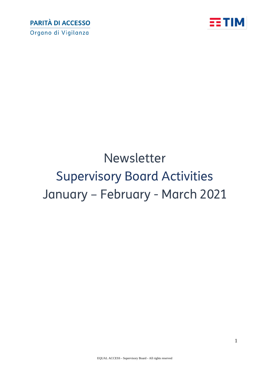



# Newsletter Supervisory Board Activities January – February - March 2021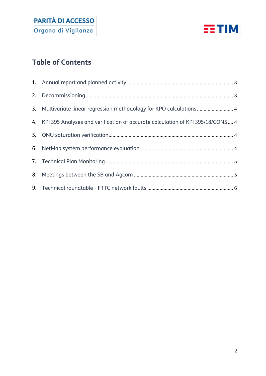## **PARITÀ DI ACCESSO** Organo di Vigilanza



### **Table of Contents**

| 3. Multivariate linear regression methodology for KPO calculations 4              |  |
|-----------------------------------------------------------------------------------|--|
| 4. KPI 395 Analyses and verification of accurate calculation of KPI 395/18/CONS 4 |  |
|                                                                                   |  |
|                                                                                   |  |
|                                                                                   |  |
|                                                                                   |  |
|                                                                                   |  |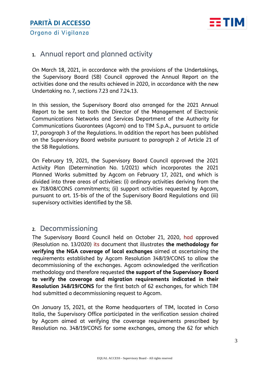

#### **1.** Annual report and planned activity

On March 18, 2021, in accordance with the provisions of the Undertakings, the Supervisory Board (SB) Council approved the Annual Report on the activities done and the results achieved in 2020, in accordance with the new Undertaking no. 7, sections 7.23 and 7.24.13.

In this session, the Supervisory Board also arranged for the 2021 Annual Report to be sent to both the Director of the Management of Electronic Communications Networks and Services Department of the Authority for Communications Guarantees (Agcom) and to TIM S.p.A., pursuant to article 17, paragraph 3 of the Regulations. In addition the report has been published on the Supervisory Board website pursuant to paragraph 2 of Article 21 of the SB Regulations.

On February 19, 2021, the Supervisory Board Council approved the 2021 Activity Plan (Determination No. 1/2021) which incorporates the 2021 Planned Works submitted by Agcom on February 17, 2021, and which is divided into three areas of activities: (i) ordinary activities deriving from the ex 718/08/CONS commitments; (ii) support activities requested by Agcom, pursuant to art. 15-bis of the of the Supervisory Board Regulations and (iii) supervisory activities identified by the SB.

#### **2.** Decommissioning

The Supervisory Board Council held on October 21, 2020, had approved (Resolution no. 13/2020) its document that illustrates **the methodology for verifying the NGA coverage of local exchanges** aimed at ascertaining the requirements established by Agcom Resolution 348/19/CONS to allow the decommissioning of the exchanges. Agcom acknowledged the verification methodology and therefore requested **the support of the Supervisory Board to verify the coverage and migration requirements indicated in their Resolution 348/19/CONS** for the first batch of 62 exchanges, for which TIM had submitted a decommissioning request to Agcom.

On January 15, 2021, at the Rome headquarters of TIM, located in Corso Italia, the Supervisory Office participated in the verification session chaired by Agcom aimed at verifying the coverage requirements prescribed by Resolution no. 348/19/CONS for some exchanges, among the 62 for which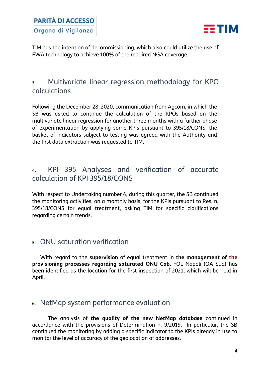#### **PARITÀ DI ACCESSO** Organo di Vigilanza



TIM has the intention of decommissioning, which also could utilize the use of FWA technology to achieve 100% of the required NGA coverage.

#### **3.** Multivariate linear regression methodology for KPO calculations

Following the December 28, 2020, communication from Agcom, in which the SB was asked to continue the calculation of the KPOs based on the multivariate linear regression for another three months with a further phase of experimentation by applying some KPIs pursuant to 395/18/CONS, the basket of indicators subject to testing was agreed with the Authority and the first data extraction was requested to TIM.

#### **4.** KPI 395 Analyses and verification of accurate calculation of KPI 395/18/CONS

With respect to Undertaking number 4, during this quarter, the SB continued the monitoring activities, on a monthly basis, for the KPIs pursuant to Res. n. 395/18/CONS for equal treatment, asking TIM for specific clarifications regarding certain trends.

#### **5.** ONU saturation verification

With regard to the **supervision** of equal treatment in **the management of the provisioning processes regarding saturated ONU Cab**, FOL Napoli (OA Sud) has been identified as the location for the first inspection of 2021, which will be held in April.

#### **6.** NetMap system performance evaluation

The analysis of **the quality of the new NetMap database** continued in accordance with the provisions of Determination n. 9/2019. In particular, the SB continued the monitoring by adding a specific indicator to the KPIs already in use to monitor the level of accuracy of the geolocation of addresses.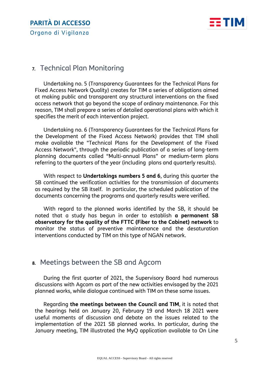

#### **7.** Technical Plan Monitoring

Undertaking no. 5 (Transparency Guarantees for the Technical Plans for Fixed Access Network Quality) creates for TIM a series of obligations aimed at making public and transparent any structural interventions on the fixed access network that go beyond the scope of ordinary maintenance. For this reason, TIM shall prepare a series of detailed operational plans with which it specifies the merit of each intervention project.

Undertaking no. 6 (Transparency Guarantees for the Technical Plans for the Development of the Fixed Access Network) provides that TIM shall make available the "Technical Plans for the Development of the Fixed Access Network", through the periodic publication of a series of long-term planning documents called "Multi-annual Plans" or medium-term plans referring to the quarters of the year (including plans and quarterly results).

With respect to **Undertakings numbers 5 and 6**, during this quarter the SB continued the verification activities for the transmission of documents as required by the SB itself. In particular, the scheduled publication of the documents concerning the programs and quarterly results were verified.

With regard to the planned works identified by the SB, it should be noted that a study has begun in order to establish **a permanent SB observatory for the quality of the FTTC (Fiber to the Cabinet) network** to monitor the status of preventive maintenance and the desaturation interventions conducted by TIM on this type of NGAN network.

#### **8.** Meetings between the SB and Agcom

During the first quarter of 2021, the Supervisory Board had numerous discussions with Agcom as part of the new activities envisaged by the 2021 planned works, while dialogue continued with TIM on these same issues.

Regarding **the meetings between the Council and TIM**, it is noted that the hearings held on January 20, February 19 and March 18 2021 were useful moments of discussion and debate on the issues related to the implementation of the 2021 SB planned works. In particular, during the January meeting, TIM illustrated the MyQ application available to On Line